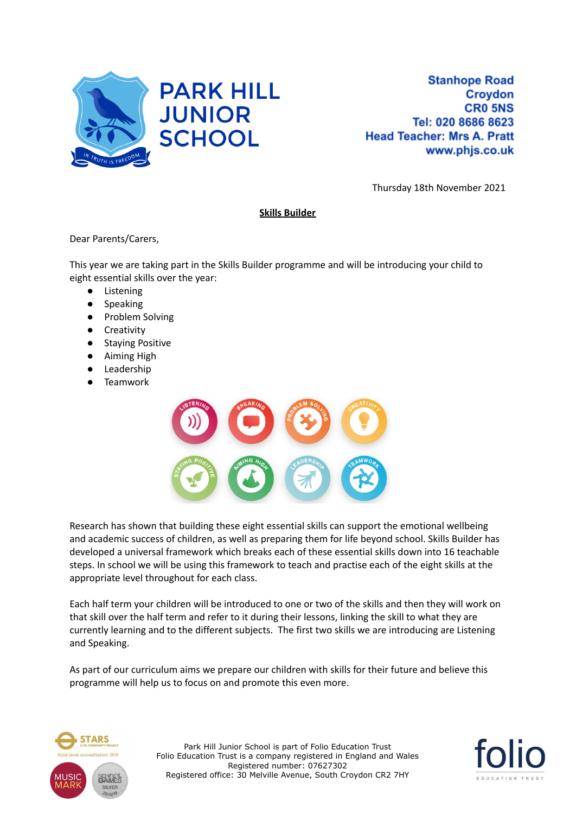

Thursday 18th November 2021

## **Skills Builder**

Dear Parents/Carers,

This year we are taking part in the Skills Builder programme and will be introducing your child to eight essential skills over the year:

- Listening
- Speaking
- Problem Solving
- Creativity
- Staying Positive
- Aiming High
- Leadership
- **Teamwork**



Research has shown that building these eight essential skills can support the emotional wellbeing and academic success of children, as well as preparing them for life beyond school. Skills Builder has developed a universal framework which breaks each of these essential skills down into 16 teachable steps. In school we will be using this framework to teach and practise each of the eight skills at the appropriate level throughout for each class.

Each half term your children will be introduced to one or two of the skills and then they will work on that skill over the half term and refer to it during their lessons, linking the skill to what they are currently learning and to the different subjects. The first two skills we are introducing are Listening and Speaking.

As part of our curriculum aims we prepare our children with skills for their future and believe this programme will help us to focus on and promote this even more.



Park Hill Junior School is part of Folio Education Trust Folio Education Trust is a company registered in England and Wales Registered number: 07627302 Registered office: 30 Melville Avenue, South Croydon CR2 7HY